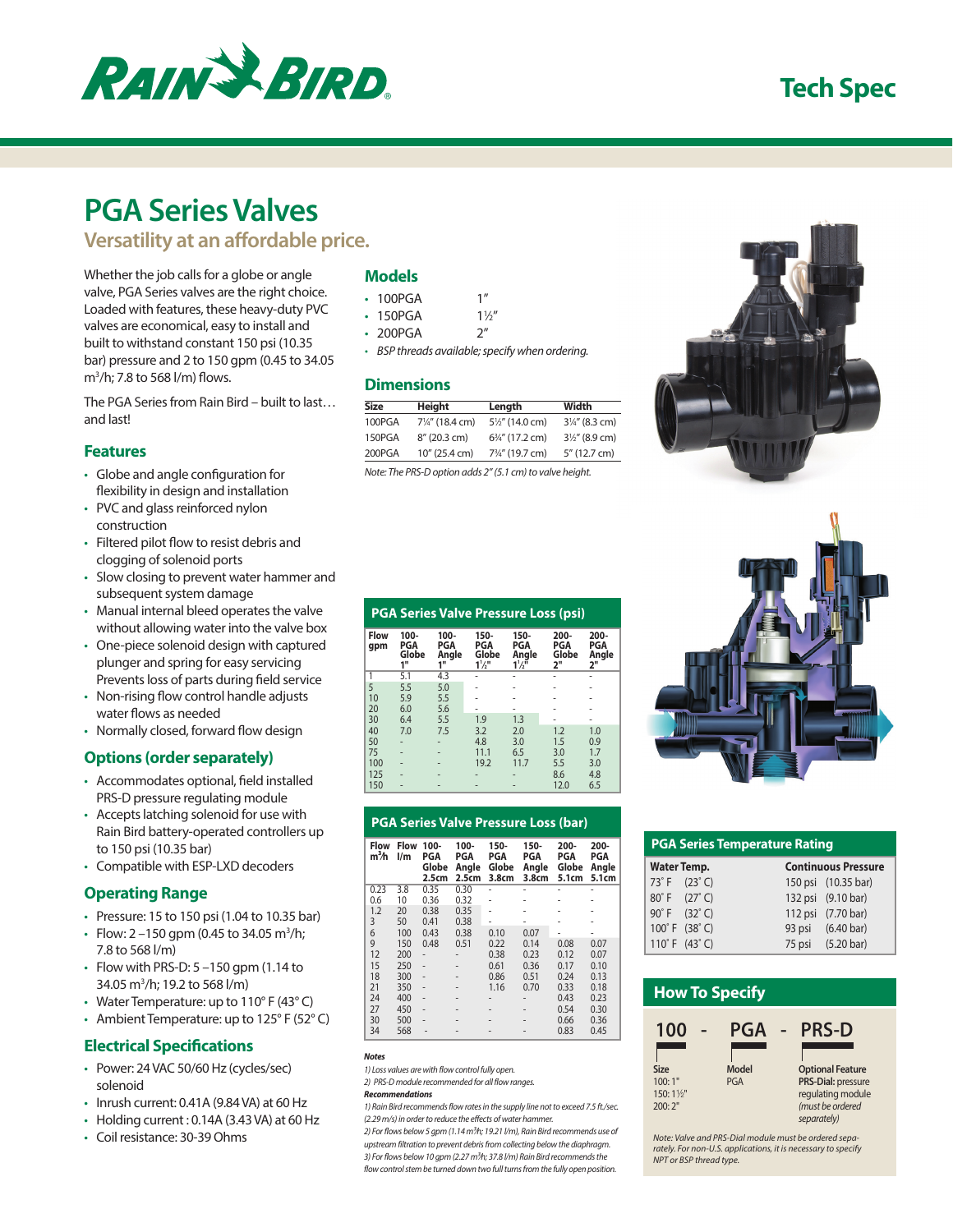

## **Tech Spec**

# **PGA Series Valves**

**Versatility at an affordable price.**

Whether the job calls for a globe or angle valve, PGA Series valves are the right choice. Loaded with features, these heavy-duty PVC valves are economical, easy to install and built to withstand constant 150 psi (10.35 bar) pressure and 2 to 150 gpm (0.45 to 34.05 m3 /h; 7.8 to 568 l/m) flows.

The PGA Series from Rain Bird – built to last… and last!

### **Features**

- Globe and angle configuration for flexibility in design and installation
- PVC and glass reinforced nylon construction
- Filtered pilot flow to resist debris and clogging of solenoid ports
- Slow closing to prevent water hammer and subsequent system damage
- Manual internal bleed operates the valve without allowing water into the valve box
- One-piece solenoid design with captured plunger and spring for easy servicing Prevents loss of parts during field service
- Non-rising flow control handle adjusts water flows as needed
- Normally closed, forward flow design

## **Options (order separately)**

- Accommodates optional, field installed PRS-D pressure regulating module
- Accepts latching solenoid for use with Rain Bird battery-operated controllers up to 150 psi (10.35 bar)
- Compatible with ESP-LXD decoders

## **Operating Range**

- Pressure: 15 to 150 psi (1.04 to 10.35 bar)
- Flow:  $2 150$  gpm (0.45 to 34.05 m<sup>3</sup>/h; 7.8 to 568 l/m)
- $\cdot$  Flow with PRS-D: 5 –150 gpm (1.14 to 34.05 m3 /h; 19.2 to 568 l/m)
- Water Temperature: up to 110° F (43° C)
- Ambient Temperature: up to 125° F (52° C)

## **Electrical Specifications**

- Power: 24 VAC 50/60 Hz (cycles/sec) solenoid
- Inrush current: 0.41A (9.84 VA) at 60 Hz
- Holding current : 0.14A (3.43 VA) at 60 Hz
- Coil resistance: 30-39 Ohms

## **Models**

| 100PGA |  | 111 |  |
|--------|--|-----|--|
|--------|--|-----|--|

- $\cdot$  150PGA  $1\frac{1}{2}$ "
- 200PGA 2"
- *• BSP threads available; specify when ordering.*

## **Dimensions**

| Size   | Height                     | Length                     | Width                     |
|--------|----------------------------|----------------------------|---------------------------|
| 100PGA | $7\frac{1}{4}$ " (18.4 cm) | $5\frac{1}{2}$ " (14.0 cm) | $3\frac{1}{4}$ " (8.3 cm) |
| 150PGA | 8" (20.3 cm)               | $6\frac{3}{4}$ " (17.2 cm) | $3\frac{1}{2}$ " (8.9 cm) |
| 200PGA | 10" (25.4 cm)              | 73/4" (19.7 cm)            | 5" (12.7 cm)              |
|        |                            |                            |                           |

*Note: The PRS-D option adds 2" (5.1 cm) to valve height.*





| <b>PGA Series Temperature Rating</b> |                            |  |  |  |  |  |  |
|--------------------------------------|----------------------------|--|--|--|--|--|--|
| <b>Water Temp.</b>                   | <b>Continuous Pressure</b> |  |  |  |  |  |  |
| 73°F (23°C)                          | 150 psi (10.35 bar)        |  |  |  |  |  |  |
| 80°F (27°C)                          | 132 psi (9.10 bar)         |  |  |  |  |  |  |
| 90°F (32°C)                          | 112 psi (7.70 bar)         |  |  |  |  |  |  |
| 100°F (38°C)                         | 93 psi (6.40 bar)          |  |  |  |  |  |  |
| 110°F (43°C)                         | 75 psi (5.20 bar)          |  |  |  |  |  |  |



*Note: Valve and PRS-Dial module must be ordered separately. For non-U.S. applications, it is necessary to specify NPT or BSP thread type.*

|                    |                               |                               |                                           |                                                               | <b>PGA Series Valve Pressure Loss (psi)</b> |                               |
|--------------------|-------------------------------|-------------------------------|-------------------------------------------|---------------------------------------------------------------|---------------------------------------------|-------------------------------|
| <b>Flow</b><br>qpm | $100 -$<br>PGA<br>Globe<br>1" | $100 -$<br>PGA<br>Angle<br>1" | $150 -$<br>PGA<br>Globe<br>$1\frac{1}{2}$ | $150 -$<br><b>PGA</b><br>Angle<br>$1\frac{1}{2}$ <sup>1</sup> | 200-<br>PGA<br>Globe<br>2"                  | $200 -$<br>PGA<br>Angle<br>2" |
| 1                  | 5.1                           | 4.3                           | $\blacksquare$                            |                                                               |                                             | ۰                             |
| 5                  | 5.5                           | 5.0                           |                                           |                                                               |                                             | ۰                             |
| 10                 | 5.9                           | 5.5                           |                                           |                                                               |                                             |                               |
| 20                 | 6.0                           | 5.6                           |                                           |                                                               |                                             | ۰                             |
| 30                 | 6.4                           | 5.5                           | 1.9                                       | 1.3                                                           |                                             |                               |
| 40                 | 7.0                           | 7.5                           | 3.2                                       | 2.0                                                           | 1.2                                         | 1.0                           |

#### 100 - - 19.2 11.7 5.5 3.0 125 - - - - 8.6 4.8 150 - - - - 12.0 6.5

50 - - 4.8 3.0 1.5 0.9 75 - - 11.1 6.5 3.0 1.7

**PGA Series Valve Pressure Loss (bar)**

| Flow<br>$m3$ h | <b>Flow</b><br>$\mathsf{I}/\mathsf{m}$ | $100 -$<br>PGA<br>Globe<br>2.5cm | $100 -$<br><b>PGA</b><br>Angle<br>2.5cm | $150 -$<br>PGA<br>Globe<br>3.8cm | 150-<br>PGA<br>Angle<br>3.8cm | $200 -$<br><b>PGA</b><br>Globe<br>5.1cm | $200 -$<br>PGA<br>Angle<br>5.1cm |  |
|----------------|----------------------------------------|----------------------------------|-----------------------------------------|----------------------------------|-------------------------------|-----------------------------------------|----------------------------------|--|
| 0.23           | 3.8                                    | 0.35                             | 0.30                                    |                                  |                               |                                         |                                  |  |
| 0.6            | 10                                     | 0.36                             | 0.32                                    |                                  |                               |                                         |                                  |  |
| 1.2            | 20                                     | 0.38                             | 0.35                                    |                                  |                               |                                         |                                  |  |
| 3              | 50                                     | 0.41                             | 0.38                                    |                                  |                               |                                         |                                  |  |
| 6              | 100                                    | 0.43                             | 0.38                                    | 0.10                             | 0.07                          |                                         |                                  |  |
| 9              | 150                                    | 0.48                             | 0.51                                    | 0.22                             | 0.14                          | 0.08                                    | 0.07                             |  |
| 12             | 200                                    |                                  |                                         | 0.38                             | 0.23                          | 0.12                                    | 0.07                             |  |
| 15             | 250                                    |                                  |                                         | 0.61                             | 0.36                          | 0.17                                    | 0.10                             |  |
| 18             | 300                                    |                                  |                                         | 0.86                             | 0.51                          | 0.24                                    | 0.13                             |  |
| 21             | 350                                    |                                  |                                         | 1.16                             | 0.70                          | 0.33                                    | 0.18                             |  |
| 24             | 400                                    |                                  |                                         |                                  |                               | 0.43                                    | 0.23                             |  |
| 27             | 450                                    |                                  |                                         |                                  |                               | 0.54                                    | 0.30                             |  |
| 30             | 500                                    |                                  |                                         |                                  |                               | 0.66                                    | 0.36                             |  |
| 34             | 568                                    |                                  |                                         |                                  |                               | 0.83                                    | 0.45                             |  |

*Notes*

*1) Loss values are with flow control fully open.*

*2) PRS-D module recommended for all flow ranges.*

#### *Recommendations*

*1) Rain Bird recommends flow rates in the supply line not to exceed 7.5 ft./sec. (2.29 m/s) in order to reduce the effects of water hammer.*

*2) For flows below 5 gpm (1.14 m3⁄h; 19.21 l/m), Rain Bird recommends use of upstream filtration to prevent debris from collecting below the diaphragm. 3) For flows below 10 gpm (2.27 m3⁄h; 37.8 l/m) Rain Bird recommends the flow control stem be turned down two full turns from the fully open position.*